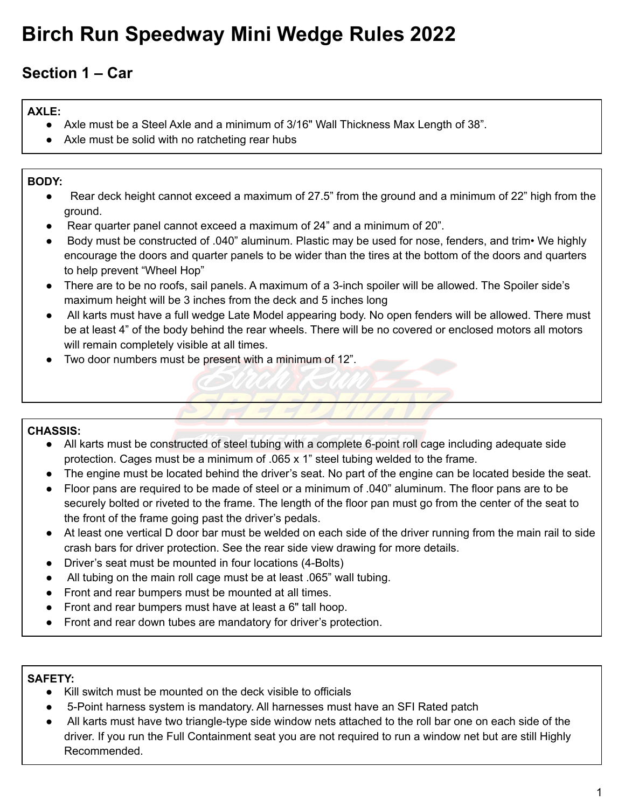# **Birch Run Speedway Mini Wedge Rules 2022**

# **Section 1 – Car**

## **AXLE:**

- **●** Axle must be a Steel Axle and a minimum of 3/16" Wall Thickness Max Length of 38".
- Axle must be solid with no ratcheting rear hubs

## **BODY:**

- Rear deck height cannot exceed a maximum of 27.5" from the ground and a minimum of 22" high from the ground.
- Rear quarter panel cannot exceed a maximum of 24" and a minimum of 20".
- Body must be constructed of .040" aluminum. Plastic may be used for nose, fenders, and trim• We highly encourage the doors and quarter panels to be wider than the tires at the bottom of the doors and quarters to help prevent "Wheel Hop"
- There are to be no roofs, sail panels. A maximum of a 3-inch spoiler will be allowed. The Spoiler side's maximum height will be 3 inches from the deck and 5 inches long
- All karts must have a full wedge Late Model appearing body. No open fenders will be allowed. There must be at least 4" of the body behind the rear wheels. There will be no covered or enclosed motors all motors will remain completely visible at all times.
- Two door numbers must be present with a minimum of 12".

## **CHASSIS:**

- **●** All karts must be constructed of steel tubing with a complete 6-point roll cage including adequate side protection. Cages must be a minimum of .065 x 1" steel tubing welded to the frame.
- The engine must be located behind the driver's seat. No part of the engine can be located beside the seat.
- Floor pans are required to be made of steel or a minimum of .040" aluminum. The floor pans are to be securely bolted or riveted to the frame. The length of the floor pan must go from the center of the seat to the front of the frame going past the driver's pedals.
- At least one vertical D door bar must be welded on each side of the driver running from the main rail to side crash bars for driver protection. See the rear side view drawing for more details.
- Driver's seat must be mounted in four locations (4-Bolts)
- All tubing on the main roll cage must be at least .065" wall tubing.
- Front and rear bumpers must be mounted at all times.
- Front and rear bumpers must have at least a 6" tall hoop.
- Front and rear down tubes are mandatory for driver's protection.

### **SAFETY:**

- **●** Kill switch must be mounted on the deck visible to officials
- 5-Point harness system is mandatory. All harnesses must have an SFI Rated patch
- All karts must have two triangle-type side window nets attached to the roll bar one on each side of the driver. If you run the Full Containment seat you are not required to run a window net but are still Highly Recommended.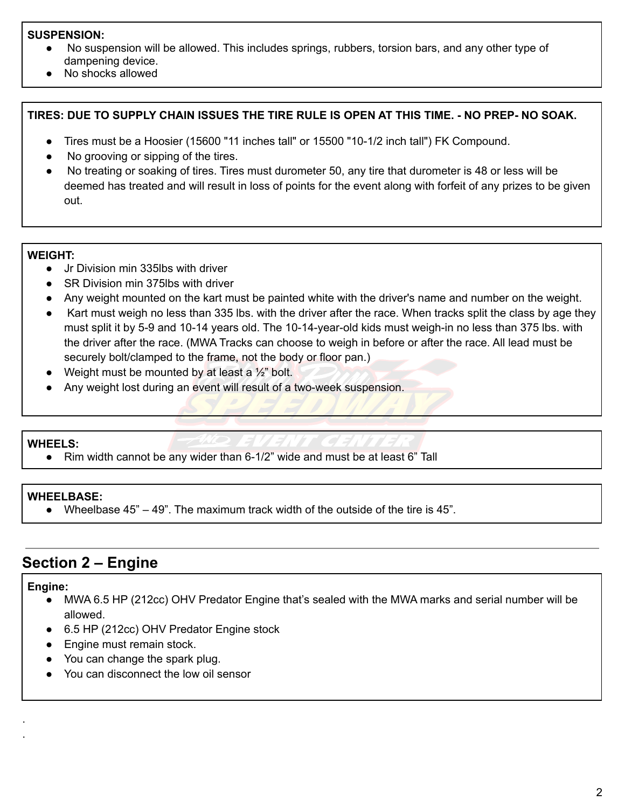#### **SUSPENSION:**

- No suspension will be allowed. This includes springs, rubbers, torsion bars, and any other type of dampening device.
- No shocks allowed

#### **TIRES: DUE TO SUPPLY CHAIN ISSUES THE TIRE RULE IS OPEN AT THIS TIME. - NO PREP- NO SOAK.**

- **●** Tires must be a Hoosier (15600 "11 inches tall" or 15500 "10-1/2 inch tall") FK Compound.
- **●** No grooving or sipping of the tires.
- No treating or soaking of tires. Tires must durometer 50, any tire that durometer is 48 or less will be deemed has treated and will result in loss of points for the event along with forfeit of any prizes to be given out.

#### **WEIGHT:**

- **●** Jr Division min 335lbs with driver
- SR Division min 375lbs with driver
- Any weight mounted on the kart must be painted white with the driver's name and number on the weight.
- Kart must weigh no less than 335 lbs. with the driver after the race. When tracks split the class by age they must split it by 5-9 and 10-14 years old. The 10-14-year-old kids must weigh-in no less than 375 lbs. with the driver after the race. (MWA Tracks can choose to weigh in before or after the race. All lead must be securely bolt/clamped to the frame, not the body or floor pan.)
- Weight must be mounted by at least a  $\frac{1}{2}$ " bolt.
- Any weight lost during an event will result of a two-week suspension.

#### **WHEELS:**

● Rim width cannot be any wider than 6-1/2" wide and must be at least 6" Tall

#### **WHEELBASE:**

**●** Wheelbase 45" – 49". The maximum track width of the outside of the tire is 45".

# **Section 2 – Engine**

#### **Engine:**

· ·

- **●** MWA 6.5 HP (212cc) OHV Predator Engine that's sealed with the MWA marks and serial number will be allowed.
- 6.5 HP (212cc) OHV Predator Engine stock
- Engine must remain stock.
- You can change the spark plug.
- You can disconnect the low oil sensor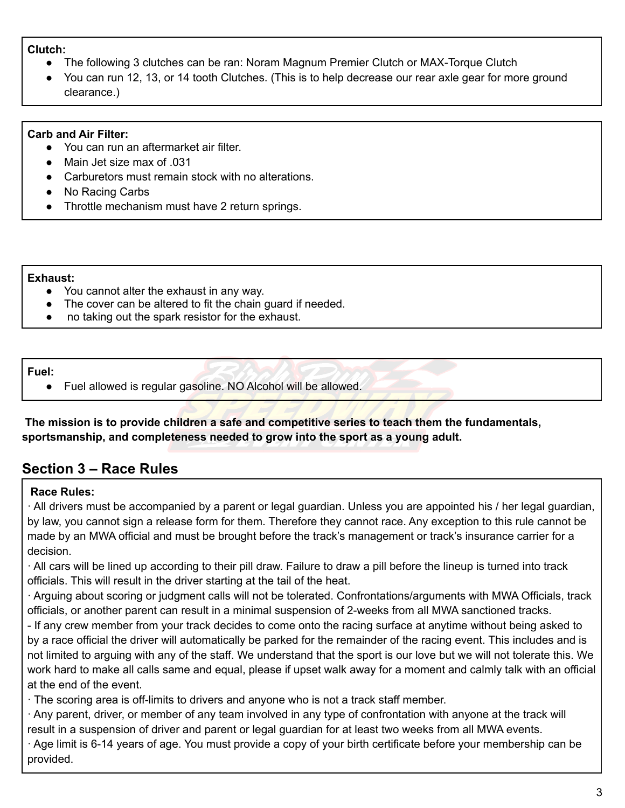#### **Clutch:**

- **●** The following 3 clutches can be ran: Noram Magnum Premier Clutch or MAX-Torque Clutch
- You can run 12, 13, or 14 tooth Clutches. (This is to help decrease our rear axle gear for more ground clearance.)

#### **Carb and Air Filter:**

- **●** You can run an aftermarket air filter.
- **●** Main Jet size max of .031
- Carburetors must remain stock with no alterations.
- No Racing Carbs
- Throttle mechanism must have 2 return springs.

#### **Exhaust:**

- **●** You cannot alter the exhaust in any way.
- **●** The cover can be altered to fit the chain guard if needed.
- **●** no taking out the spark resistor for the exhaust.

#### **Fuel:**

● Fuel allowed is regular gasoline. NO Alcohol will be allowed.

**The mission is to provide children a safe and competitive series to teach them the fundamentals, sportsmanship, and completeness needed to grow into the sport as a young adult.**

# **Section 3 – Race Rules**

#### **Race Rules:**

· All drivers must be accompanied by a parent or legal guardian. Unless you are appointed his / her legal guardian, by law, you cannot sign a release form for them. Therefore they cannot race. Any exception to this rule cannot be made by an MWA official and must be brought before the track's management or track's insurance carrier for a decision.

· All cars will be lined up according to their pill draw. Failure to draw a pill before the lineup is turned into track officials. This will result in the driver starting at the tail of the heat.

· Arguing about scoring or judgment calls will not be tolerated. Confrontations/arguments with MWA Officials, track officials, or another parent can result in a minimal suspension of 2-weeks from all MWA sanctioned tracks.

- If any crew member from your track decides to come onto the racing surface at anytime without being asked to by a race official the driver will automatically be parked for the remainder of the racing event. This includes and is not limited to arguing with any of the staff. We understand that the sport is our love but we will not tolerate this. We work hard to make all calls same and equal, please if upset walk away for a moment and calmly talk with an official at the end of the event.

· The scoring area is off-limits to drivers and anyone who is not a track staff member.

· Any parent, driver, or member of any team involved in any type of confrontation with anyone at the track will result in a suspension of driver and parent or legal guardian for at least two weeks from all MWA events.

· Age limit is 6-14 years of age. You must provide a copy of your birth certificate before your membership can be provided.